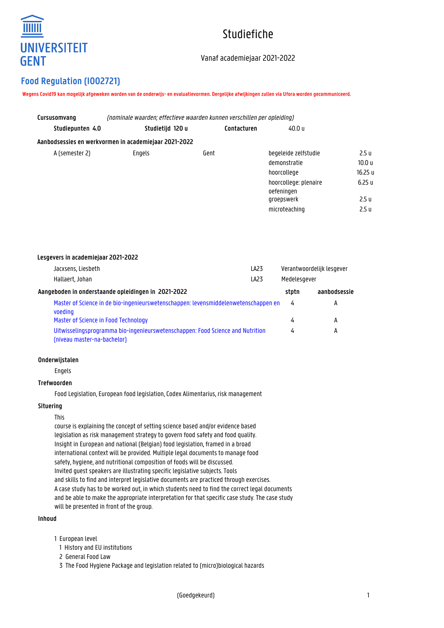

# Studiefiche

# Vanaf academiejaar 2021-2022

# **Food Regulation (I002721)**

**Wegens Covid19 kan mogelijk afgeweken worden van de onderwijs- en evaluatievormen. Dergelijke afwijkingen zullen via Ufora worden gecommuniceerd.**

| Cursusomvang     | (nominale waarden: effectieve waarden kunnen verschillen per opleiding) |             |                                     |                   |  |
|------------------|-------------------------------------------------------------------------|-------------|-------------------------------------|-------------------|--|
| Studiepunten 4.0 | Studietijd 120 u                                                        | Contacturen | 40.0 u                              |                   |  |
|                  | Aanbodsessies en werkvormen in academiejaar 2021-2022                   |             |                                     |                   |  |
| A (semester 2)   | Engels                                                                  | Gent        | begeleide zelfstudie                | 2.5 u             |  |
|                  |                                                                         |             | demonstratie                        | 10.0 <sub>u</sub> |  |
|                  |                                                                         |             | hoorcollege                         | 16.25 u           |  |
|                  |                                                                         |             | hoorcollege: plenaire<br>oefeningen | 6.25u             |  |
|                  |                                                                         |             | groepswerk                          | 2.5 <sub>u</sub>  |  |
|                  |                                                                         |             | microteaching                       | 2.5 <sub>u</sub>  |  |

| Lesgevers in academiejaar 2021-2022                                                                           |                  |              |                           |
|---------------------------------------------------------------------------------------------------------------|------------------|--------------|---------------------------|
| Jacxsens, Liesbeth                                                                                            | LA <sub>23</sub> |              | Verantwoordelijk lesgever |
| Hallaert, Johan                                                                                               | LA <sub>23</sub> | Medelesgever |                           |
| Aangeboden in onderstaande opleidingen in 2021-2022                                                           |                  | stotn        | aanbodsessie              |
| Master of Science in de bio-ingenieurswetenschappen: levensmiddelenwetenschappen en<br>voeding                |                  | 4            | А                         |
| Master of Science in Food Technology                                                                          |                  | 4            | А                         |
| Uitwisselingsprogramma bio-ingenieurswetenschappen: Food Science and Nutrition<br>(niveau master-na-bachelor) |                  | 4            | А                         |

#### **Onderwijstalen**

Engels

#### **Trefwoorden**

Food Legislation, European food legislation, Codex Alimentarius, risk management

## **Situering**

This

course is explaining the concept of setting science based and/or evidence based legislation as risk management strategy to govern food safety and food quality. Insight in European and national (Belgian) food legislation, framed in a broad international context will be provided. Multiple legal documents to manage food safety, hygiene, and nutritional composition of foods will be discussed. Invited guest speakers are illustrating specific legislative subjects. Tools and skills to find and interpret legislative documents are practiced through exercises. A case study has to be worked out, in which students need to find the correct legal documents and be able to make the appropriate interpretation for that specific case study. The case study will be presented in front of the group.

#### **Inhoud**

1 European level

- 1 History and EU institutions
- 2 General Food Law

1 3 The Food Hygiene Package and legislation related to (micro)biological hazards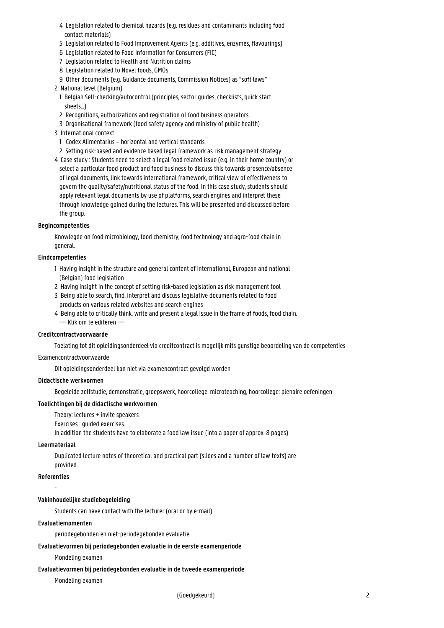- 1 4 Legislation related to chemical hazards (e.g. residues and contaminants including food contact materials)
- 1 5 Legislation related to Food Improvement Agents (e.g. additives, enzymes, flavourings)
- 1 6 Legislation related to Food Information for Consumers (FIC)
- 1 7 Legislation related to Health and Nutrition claims
- 8 Legislation related to Novel foods, GMOs
- 1 9 Other documents (e.g. Guidance documents, Commission Notices) as "soft laws"
- 2 National level (Belgium)
- 1 Belgian Self-checking/autocontrol (principles, sector guides, checklists, quick start sheets...)
- 2 Recognitions, authorizations and registration of food business operators
- 1 3 Organisational framework (food safety agency and ministry of public health)
- 3 International context
	- 1 Codex Alimentarius horizontal and vertical standards
- 1 2 Setting risk-based and evidence based legal framework as risk management strategy
- 4 Case study : Students need to select a legal food related issue (e.g. in their home country) or select a particular food product and food business to discuss this towards presence/absence of legal documents, link towards international framework, critical view of effectiveness to 1 govern the quality/safety/nutritional status of the food. In this case study, students should apply relevant legal documents by use of platforms, search engines and interpret these through knowledge gained during the lectures. This will be presented and discussed before the group.

#### **Begincompetenties**

Knowlegde on food microbiology, food chemistry, food technology and agro-food chain in general.

## **Eindcompetenties**

- 1 Having insight in the structure and general content of international, European and national (Belgian) food legislation
- 2 Having insight in the concept of setting risk-based legislation as risk management tool
- 3 Being able to search, find, interpret and discuss legislative documents related to food products on various related websites and search engines
- 4 Being able to critically think, write and present a legal issue in the frame of foods, food chain. --- Klik om te editeren ---

#### **Creditcontractvoorwaarde**

Toelating tot dit opleidingsonderdeel via creditcontract is mogelijk mits gunstige beoordeling van de competenties

#### Examencontractvoorwaarde

Dit opleidingsonderdeel kan niet via examencontract gevolgd worden

#### **Didactische werkvormen**

Begeleide zelfstudie, demonstratie, groepswerk, hoorcollege, microteaching, hoorcollege: plenaire oefeningen

## **Toelichtingen bij de didactische werkvormen**

Theory: lectures + invite speakers

Exercises : guided exercises

In addition the students have to elaborate a food law issue (into a paper of approx. 8 pages)

#### **Leermateriaal**

Duplicated lecture notes of theoretical and practical part (slides and a number of law texts) are provided.

#### **Referenties**

-

## **Vakinhoudelijke studiebegeleiding**

Students can have contact with the lecturer (oral or by e-mail).

## **Evaluatiemomenten**

periodegebonden en niet-periodegebonden evaluatie

## **Evaluatievormen bij periodegebonden evaluatie in de eerste examenperiode**

Mondeling examen

#### **Evaluatievormen bij periodegebonden evaluatie in de tweede examenperiode**

Mondeling examen